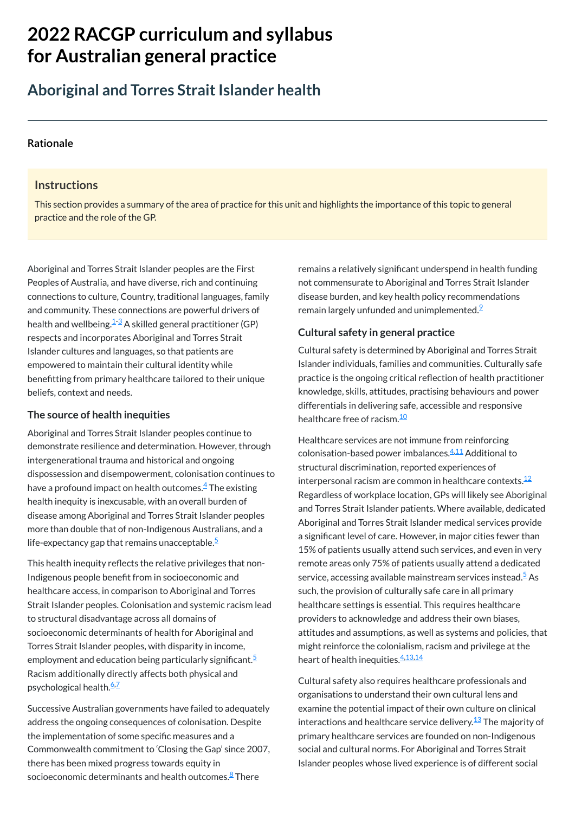# **2022 RACGP curriculum and syllabus for Australian [general practice](https://www.racgp.org.au/Curriculum-and-Syllabus/home)**

## **Aboriginal and Torres Strait Islander health**

#### **[Rationale](javascript:void(0))**

#### **Instructions**

This section provides a summary of the area of practice for this unit and highlights the importance of this topic to general practice and the role of the GP.

Aboriginal and Torres Strait Islander peoples continue to demonstrate resilience and determination. However, through intergenerational trauma and historical and ongoing dispossession and disempowerment, colonisation continues to have a profound impact on health outcomes. $\rm \frac{4}{}$  $\rm \frac{4}{}$  $\rm \frac{4}{}$  The existing health inequity is inexcusable, with an overall burden of disease among Aboriginal and Torres Strait Islander peoples more than double that of non-Indigenous Australians, and a life-expectancy gap that remains unacceptable. $5$ 

Aboriginal and Torres Strait Islander peoples are the First Peoples of Australia, and have diverse, rich and continuing connections to culture, Country, traditional languages, family and community. These connections are powerful drivers of health and wellbeing. $\frac{1\cdot3}{2}$  $\frac{1\cdot3}{2}$  $\frac{1\cdot3}{2}$  A skilled general practitioner (GP) respects and incorporates Aboriginal and Torres Strait Islander cultures and languages, so that patients are empowered to maintain their cultural identity while benefitting from primary healthcare tailored to their unique beliefs, context and needs.

to structural disadvantage across all domains of socioeconomic determinants of health for Aboriginal and Torres Strait Islander peoples, with disparity in income, employment and education being particularly significant.<sup>[5](#page-1-3)</sup> Racism additionally directly affects both physical and psychological health.<sup>[6,](#page-1-4)[7](#page-1-5)</sup>

#### **The source of health inequities**

Successive Australian governments have failed to adequately address the ongoing consequences of colonisation. Despite the implementation of some specific measures and a Commonwealth commitment to 'Closing the Gap' since 2007, there has been mixed progress towards equity in socioeconomic determinants and health outcomes.<sup>[8](#page-1-6)</sup> There

remains a relatively significant underspend in health funding not commensurate to Aboriginal and Torres Strait Islander disease burden, and key health policy recommendations remain largely unfunded and unimplemented. $\frac{9}{2}$  $\frac{9}{2}$  $\frac{9}{2}$ 

Cultural safety is determined by Aboriginal and Torres Strait Islander individuals, families and communities. Culturally safe practice is the ongoing critical reflection of health practitioner knowledge, skills, attitudes, practising behaviours and power differentials in delivering safe, accessible and responsive healthcare free of racism.<sup>[10](#page-1-8)</sup>

This health inequity reflects the relative privileges that non-Indigenous people benefit from in socioeconomic and healthcare access, in comparison to Aboriginal and Torres Strait Islander peoples. Colonisation and systemic racism lead

> providers to acknowledge and address their own biases, attitudes and assumptions, as well as systems and policies, that might reinforce the colonialism, racism and privilege at the heart of health inequities.<sup>[4,](#page-1-2)[13](#page-1-11)[,14](#page-1-12)</sup>

### **Cultural safety in general practice**

Healthcare services are not immune from reinforcing colonisation-based power imbalances.<sup>[4](#page-1-2),[11](#page-1-9)</sup> Additional to structural discrimination, reported experiences of interpersonal racism are common in healthcare contexts. $^{\underline{12}}$  $^{\underline{12}}$  $^{\underline{12}}$ Regardless of workplace location, GPs will likely see Aboriginal and Torres Strait Islander patients. Where available, dedicated Aboriginal and Torres Strait Islander medical services provide a significant level of care. However, in major cities fewer than 15% of patients usually attend such services, and even in very remote areas only 75% of patients usually attend a dedicated service, accessing available mainstream services instead.<sup>[5](#page-1-3)</sup> As such, the provision of culturally safe care in all primary healthcare settings is essential. This requires healthcare

Cultural safety also requires healthcare professionals and organisations to understand their own cultural lens and examine the potential impact of their own culture on clinical interactions and healthcare service delivery. $^{\underline{13}}$  $^{\underline{13}}$  $^{\underline{13}}$  The majority of primary healthcare services are founded on non-Indigenous social and cultural norms. For Aboriginal and Torres Strait Islander peoples whose lived experience is of different social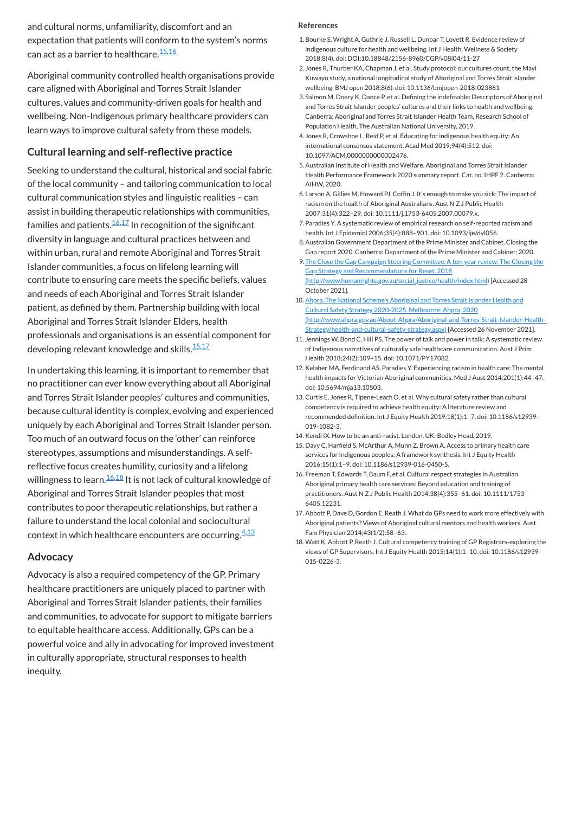Seeking to understand the cultural, historical and social fabric of the local community – and tailoring communication to local cultural communication styles and linguistic realities – can assist in building therapeutic relationships with communities, families and patients. $\frac{16,17}{2}$  $\frac{16,17}{2}$  $\frac{16,17}{2}$  $\frac{16,17}{2}$  $\frac{16,17}{2}$  In recognition of the significant diversity in language and cultural practices between and within urban, rural and remote Aboriginal and Torres Strait Islander communities, a focus on lifelong learning will contribute to ensuring care meets the specific beliefs, values and needs of each Aboriginal and Torres Strait Islander patient, as defined by them. Partnership building with local Aboriginal and Torres Strait Islander Elders, health professionals and organisations is an essential component for developing relevant knowledge and skills. $\frac{15,17}{2}$  $\frac{15,17}{2}$  $\frac{15,17}{2}$  $\frac{15,17}{2}$ 

and cultural norms, unfamiliarity, discomfort and an expectation that patients will conform to the system's norms can act as a barrier to healthcare.<sup>[15](#page-1-13)[,16](#page-1-14)</sup>

Aboriginal community controlled health organisations provide care aligned with Aboriginal and Torres Strait Islander cultures, values and community-driven goals for health and wellbeing. Non-Indigenous primary healthcare providers can learn ways to improve cultural safety from these models.

### **Cultural learning and self-reflective practice**

In undertaking this learning, it is important to remember that no practitioner can ever know everything about all Aboriginal and Torres Strait Islander peoples' cultures and communities, because cultural identity is complex, evolving and experienced uniquely by each Aboriginal and Torres Strait Islander person. Too much of an outward focus on the 'other' can reinforce stereotypes, assumptions and misunderstandings. A selfreflective focus creates humility, curiosity and a lifelong willingness to learn.<sup>[16](#page-1-14)[,18](#page-1-16)</sup> It is not lack of cultural knowledge of Aboriginal and Torres Strait Islander peoples that most contributes to poor therapeutic relationships, but rather a failure to understand the local colonial and sociocultural context in which healthcare encounters are occurring.<sup>[4](#page-1-2)[,13](#page-1-11)</sup>

#### **Advocacy**

Advocacy is also a required competency of the GP. Primary healthcare practitioners are uniquely placed to partner with Aboriginal and Torres Strait Islander patients, their families and communities, to advocate for support to mitigate barriers to equitable healthcare access. Additionally, GPs can be a powerful voice and ally in advocating for improved investment in culturally appropriate, structural responses to health inequity.

#### **References**

- <span id="page-1-0"></span>1.Bourke S, Wright A, Guthrie J, Russell L, Dunbar T, Lovett R. Evidence review of indigenous culture for health and wellbeing. Int J Health, Wellness & Society 2018;8(4). doi: DOI:10.18848/2156-8960/CGP/v08i04/11-27
- 2. Jones R, Thurber KA, Chapman J, et al. Study protocol: our cultures count, the Mayi Kuwayu study, a national longitudinal study of Aboriginal and Torres Strait islander wellbeing. BMJ open 2018;8(6). doi: 10.1136/bmjopen-2018-023861
- <span id="page-1-1"></span>3. Salmon M, Doery K, Dance P, et al. Defining the indefinable: Descriptors of Aboriginal and Torres Strait Islander peoples' cultures and their links to health and wellbeing. Canberra: Aboriginal and Torres Strait Islander Health Team, Research School of Population Health, The Australian National University, 2019.
- <span id="page-1-2"></span>4. Jones R, Crowshoe L, Reid P, et al. Educating for indigenous health equity: An international consensus statement. Acad Med 2019;94(4):512. doi: 10.1097/ACM.0000000000002476.
- <span id="page-1-3"></span>5.Australian Institute of Health and Welfare. Aboriginal and Torres Strait Islander Health Performance Framework 2020 summary report. Cat. no. IHPF 2. Canberra: AIHW, 2020.
- <span id="page-1-4"></span>6. Larson A, Gillies M, Howard PJ, Coffin J. It's enough to make you sick: The impact of racism on the health of Aboriginal Australians. Aust N Z J Public Health 2007;31(4):322–29. doi: 10.1111/j.1753-6405.2007.00079.x.
- <span id="page-1-5"></span>7. Paradies Y. A systematic review of empirical research on self-reported racism and health. Int J Epidemiol 2006;35(4):888–901. doi: 10.1093/ije/dyl056.
- <span id="page-1-6"></span>8.Australian Government Department of the Prime Minister and Cabinet. Closing the Gap report 2020. Canberra: Department of the Prime Minister and Cabinet; 2020.
- <span id="page-1-7"></span>9. The Close the Gap Campaign Steering Committee. A ten-year review: The Closing the Gap Strategy and Recommendations for Reset. 2018 [\(http://www.humanrights.gov.au/social\\_justice/health/index.html\)](http://www.humanrights.gov.au/social_justice/health/index.html) [Accessed 28 October 2021].
- <span id="page-1-8"></span>10. Ahpra. The National Scheme's Aboriginal and Torres Strait Islander Health and Cultural Safety Strategy 2020-2025. Melbourne: Ahpra, 2020 [\(http://www.ahpra.gov.au/About-Ahpra/Aboriginal-and-Torres-Strait-Islander-Health-](http://www.ahpra.gov.au/About-Ahpra/Aboriginal-and-Torres-Strait-Islander-Health-Strategy/health-and-cultural-safety-strategy.aspx)Strategy/health-and-cultural-safety-strategy.aspx) [Accessed 26 November 2021].
- <span id="page-1-9"></span>11. Jennings W, Bond C, Hill PS. The power of talk and power in talk: A systematic review of Indigenous narratives of culturally safe healthcare communication. Aust J Prim Health 2018;24(2):109–15. doi: 10.1071/PY17082.
- <span id="page-1-10"></span>12. Kelaher MA, Ferdinand AS, Paradies Y. Experiencing racism in health care: The mental health impacts for Victorian Aboriginal communities. Med J Aust 2014;201(1):44–47. doi: 10.5694/mja13.10503.
- <span id="page-1-11"></span>13. Curtis E, Jones R, Tipene-Leach D, et al. Why cultural safety rather than cultural competency is required to achieve health equity: A literature review and recommended definition. Int J Equity Health 2019;18(1):1–7. doi: 10.1186/s12939- 019-1082-3.
- <span id="page-1-12"></span>14. Kendi IX. How to be an anti-racist. London, UK: Bodley Head, 2019.
- <span id="page-1-13"></span>15. Davy C, Harfield S, McArthur A, Munn Z, Brown A. Access to primary health care services for Indigenous peoples: A framework synthesis. Int J Equity Health 2016;15(1):1–9. doi: 10.1186/s12939-016-0450-5.
- <span id="page-1-14"></span>16. Freeman T, Edwards T, Baum F, et al. Cultural respect strategies in Australian Aboriginal primary health care services: Beyond education and training of practitioners. Aust N Z J Public Health 2014;38(4):355–61. doi: 10.1111/1753- 6405.12231.
- <span id="page-1-15"></span>17. Abbott P, Dave D, Gordon E, Reath J. What do GPs need to work more effectively with Aboriginal patients? Views of Aboriginal cultural mentors and health workers. Aust Fam Physician 2014;43(1/2):58–63.
- <span id="page-1-16"></span>18. Watt K, Abbott P, Reath J. Cultural competency training of GP Registrars-exploring the views of GP Supervisors. Int J Equity Health 2015;14(1):1–10. doi: 10.1186/s12939- 015-0226-3.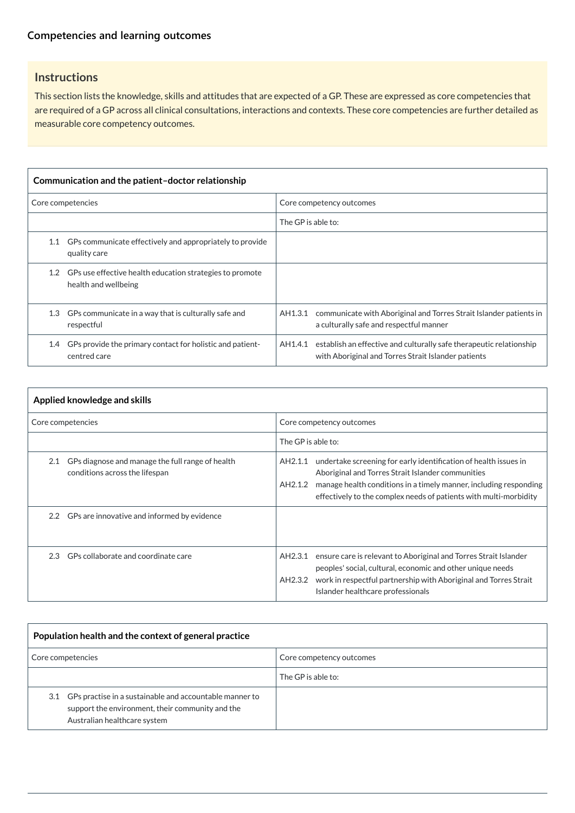This section lists the knowledge, skills and attitudes that are expected of a GP. These are expressed as core competencies that are required of a GP across all clinical consultations, interactions and contexts. These core competencies are further detailed as measurable core competency outcomes.

| Communication and the patient-doctor relationship |                                                                                      |                    |                                                                                                                            |
|---------------------------------------------------|--------------------------------------------------------------------------------------|--------------------|----------------------------------------------------------------------------------------------------------------------------|
| Core competencies                                 |                                                                                      |                    | Core competency outcomes                                                                                                   |
|                                                   |                                                                                      | The GP is able to: |                                                                                                                            |
| 1.1                                               | GPs communicate effectively and appropriately to provide<br>quality care             |                    |                                                                                                                            |
|                                                   | 1.2 GPs use effective health education strategies to promote<br>health and wellbeing |                    |                                                                                                                            |
| 1.3                                               | GPs communicate in a way that is culturally safe and<br>respectful                   | AH1.3.1            | communicate with Aboriginal and Torres Strait Islander patients in<br>a culturally safe and respectful manner              |
| 1.4                                               | GPs provide the primary contact for holistic and patient-<br>centred care            | AH1.4.1            | establish an effective and culturally safe therapeutic relationship<br>with Aboriginal and Torres Strait Islander patients |

| Applied knowledge and skills                                                              |  |                                                                                                                                                                                                                                                                                       |  |
|-------------------------------------------------------------------------------------------|--|---------------------------------------------------------------------------------------------------------------------------------------------------------------------------------------------------------------------------------------------------------------------------------------|--|
| Core competencies                                                                         |  | Core competency outcomes                                                                                                                                                                                                                                                              |  |
|                                                                                           |  | The GP is able to:                                                                                                                                                                                                                                                                    |  |
| GPs diagnose and manage the full range of health<br>2.1<br>conditions across the lifespan |  | undertake screening for early identification of health issues in<br>AH2.1.1<br>Aboriginal and Torres Strait Islander communities<br>manage health conditions in a timely manner, including responding<br>AH2.1.2<br>effectively to the complex needs of patients with multi-morbidity |  |
| 2.2 GPs are innovative and informed by evidence                                           |  |                                                                                                                                                                                                                                                                                       |  |
| GPs collaborate and coordinate care<br>$2.3^{\circ}$                                      |  | ensure care is relevant to Aboriginal and Torres Strait Islander<br>AH2.3.1<br>peoples' social, cultural, economic and other unique needs<br>work in respectful partnership with Aboriginal and Torres Strait<br>AH2.3.2<br>Islander healthcare professionals                         |  |

| Population health and the context of general practice                                                                                           |                          |  |  |
|-------------------------------------------------------------------------------------------------------------------------------------------------|--------------------------|--|--|
| Core competencies                                                                                                                               | Core competency outcomes |  |  |
|                                                                                                                                                 | The GP is able to:       |  |  |
| 3.1 GPs practise in a sustainable and accountable manner to<br>support the environment, their community and the<br>Australian healthcare system |                          |  |  |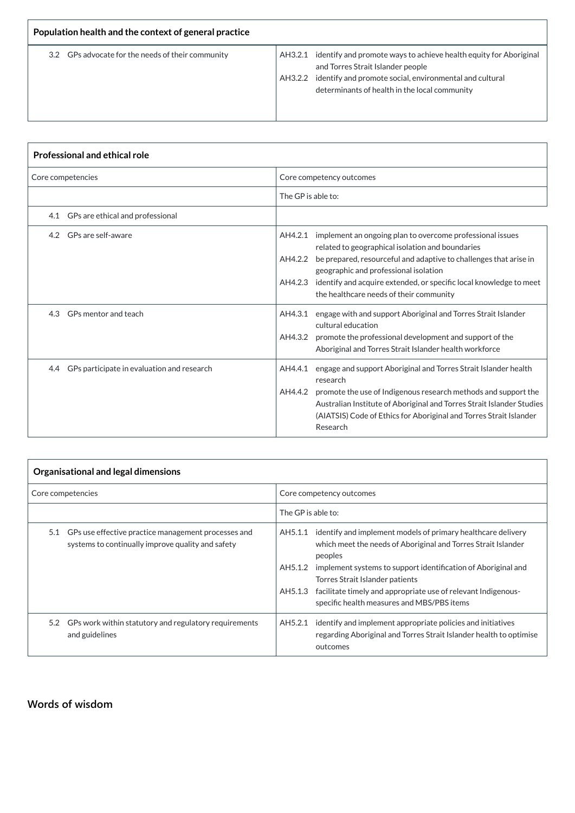| Population health and the context of general practice |                                                                                                                                                                                                                                    |  |  |
|-------------------------------------------------------|------------------------------------------------------------------------------------------------------------------------------------------------------------------------------------------------------------------------------------|--|--|
| 3.2 GPs advocate for the needs of their community     | AH3.2.1 identify and promote ways to achieve health equity for Aboriginal<br>and Torres Strait Islander people<br>AH3.2.2 identify and promote social, environmental and cultural<br>determinants of health in the local community |  |  |

T.

| <b>Professional and ethical role</b> |                                            |                                                                                                                                                                                                                                                                                                                                                                               |  |
|--------------------------------------|--------------------------------------------|-------------------------------------------------------------------------------------------------------------------------------------------------------------------------------------------------------------------------------------------------------------------------------------------------------------------------------------------------------------------------------|--|
|                                      | Core competencies                          | Core competency outcomes                                                                                                                                                                                                                                                                                                                                                      |  |
|                                      |                                            | The GP is able to:                                                                                                                                                                                                                                                                                                                                                            |  |
|                                      | 4.1 GPs are ethical and professional       |                                                                                                                                                                                                                                                                                                                                                                               |  |
|                                      | 4.2 GPs are self-aware                     | implement an ongoing plan to overcome professional issues<br>AH4.2.1<br>related to geographical isolation and boundaries<br>be prepared, resourceful and adaptive to challenges that arise in<br>AH4.2.2<br>geographic and professional isolation<br>identify and acquire extended, or specific local knowledge to meet<br>AH4.2.3<br>the healthcare needs of their community |  |
| 4.3                                  | GPs mentor and teach                       | engage with and support Aboriginal and Torres Strait Islander<br>AH4.3.1<br>cultural education<br>AH4.3.2<br>promote the professional development and support of the<br>Aboriginal and Torres Strait Islander health workforce                                                                                                                                                |  |
| 4.4                                  | GPs participate in evaluation and research | engage and support Aboriginal and Torres Strait Islander health<br>AH4.4.1<br>research<br>promote the use of Indigenous research methods and support the<br>AH4.4.2<br>Australian Institute of Aboriginal and Torres Strait Islander Studies<br>(AIATSIS) Code of Ethics for Aboriginal and Torres Strait Islander<br>Research                                                |  |

| Organisational and legal dimensions |                                                                                                              |                          |                                                                                                                                                  |
|-------------------------------------|--------------------------------------------------------------------------------------------------------------|--------------------------|--------------------------------------------------------------------------------------------------------------------------------------------------|
| Core competencies                   |                                                                                                              | Core competency outcomes |                                                                                                                                                  |
|                                     |                                                                                                              | The GP is able to:       |                                                                                                                                                  |
|                                     | 5.1 GPs use effective practice management processes and<br>systems to continually improve quality and safety |                          | AH5.1.1 identify and implement models of primary healthcare delivery<br>which meet the needs of Aboriginal and Torres Strait Islander<br>peoples |
|                                     |                                                                                                              | AH5.1.2                  | implement systems to support identification of Aboriginal and<br>Torres Strait Islander patients                                                 |
|                                     |                                                                                                              | AH5.1.3                  | facilitate timely and appropriate use of relevant Indigenous-<br>specific health measures and MBS/PBS items                                      |

| 5.2 GPs work within statutory and regulatory requirements<br>and guidelines | AH5.2.1 | identify and implement appropriate policies and initiatives<br>regarding Aboriginal and Torres Strait Islander health to optimise |
|-----------------------------------------------------------------------------|---------|-----------------------------------------------------------------------------------------------------------------------------------|
|                                                                             |         | outcomes                                                                                                                          |

### **[Words of wisdom](javascript:void(0))**

 $\Gamma$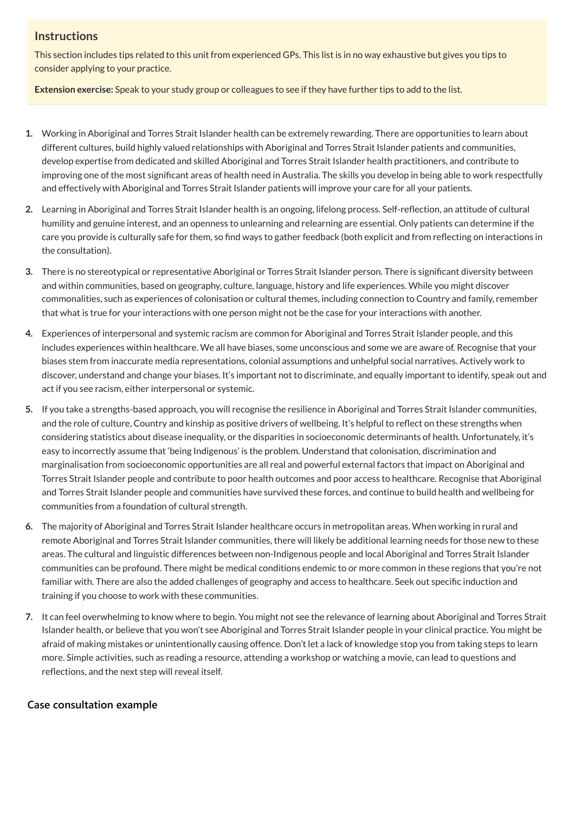This section includes tips related to this unit from experienced GPs. This list is in no way exhaustive but gives you tips to consider applying to your practice.

**Extension exercise:** Speak to your study group or colleagues to see if they have further tips to add to the list.

- **1.** Working in Aboriginal and Torres Strait Islander health can be extremely rewarding. There are opportunities to learn about different cultures, build highly valued relationships with Aboriginal and Torres Strait Islander patients and communities, develop expertise from dedicated and skilled Aboriginal and Torres Strait Islander health practitioners, and contribute to improving one of the most significant areas of health need in Australia. The skills you develop in being able to work respectfully and effectively with Aboriginal and Torres Strait Islander patients will improve your care for all your patients.
- **2.** Learning in Aboriginal and Torres Strait Islander health is an ongoing, lifelong process. Self-reflection, an attitude of cultural humility and genuine interest, and an openness to unlearning and relearning are essential. Only patients can determine if the care you provide is culturally safe for them, so find ways to gather feedback (both explicit and from reflecting on interactions in the consultation).
- **3.** There is no stereotypical or representative Aboriginal or Torres Strait Islander person. There is significant diversity between and within communities, based on geography, culture, language, history and life experiences. While you might discover commonalities, such as experiences of colonisation or cultural themes, including connection to Country and family, remember that what is true for your interactions with one person might not be the case for your interactions with another.
- **4.** Experiences of interpersonal and systemic racism are common for Aboriginal and Torres Strait Islander people, and this includes experiences within healthcare. We all have biases, some unconscious and some we are aware of. Recognise that your biases stem from inaccurate media representations, colonial assumptions and unhelpful social narratives. Actively work to discover, understand and change your biases. It's important not to discriminate, and equally important to identify, speak out and act if you see racism, either interpersonal or systemic.
- **5.** If you take a strengths-based approach, you will recognise the resilience in Aboriginal and Torres Strait Islander communities, and the role of culture, Country and kinship as positive drivers of wellbeing. It's helpful to reflect on these strengths when considering statistics about disease inequality, or the disparities in socioeconomic determinants of health. Unfortunately, it's easy to incorrectly assume that 'being Indigenous' is the problem. Understand that colonisation, discrimination and marginalisation from socioeconomic opportunities are all real and powerful external factors that impact on Aboriginal and Torres Strait Islander people and contribute to poor health outcomes and poor access to healthcare. Recognise that Aboriginal and Torres Strait Islander people and communities have survived these forces, and continue to build health and wellbeing for communities from a foundation of cultural strength.
- **6.** The majority of Aboriginal and Torres Strait Islander healthcare occurs in metropolitan areas. When working in rural and remote Aboriginal and Torres Strait Islander communities, there will likely be additional learning needs for those new to these areas. The cultural and linguistic differences between non-Indigenous people and local Aboriginal and Torres Strait Islander communities can be profound. There might be medical conditions endemic to or more common in these regions that you're not familiar with. There are also the added challenges of geography and access to healthcare. Seek out specific induction and training if you choose to work with these communities.

**7.** It can feel overwhelming to know where to begin. You might not see the relevance of learning about Aboriginal and Torres Strait Islander health, or believe that you won't see Aboriginal and Torres Strait Islander people in your clinical practice. You might be afraid of making mistakes or unintentionally causing offence. Don't let a lack of knowledge stop you from taking steps to learn more. Simple activities, such as reading a resource, attending a workshop or watching a movie, can lead to questions and reflections, and the next step will reveal itself.

**[Case consultation example](javascript:void(0))**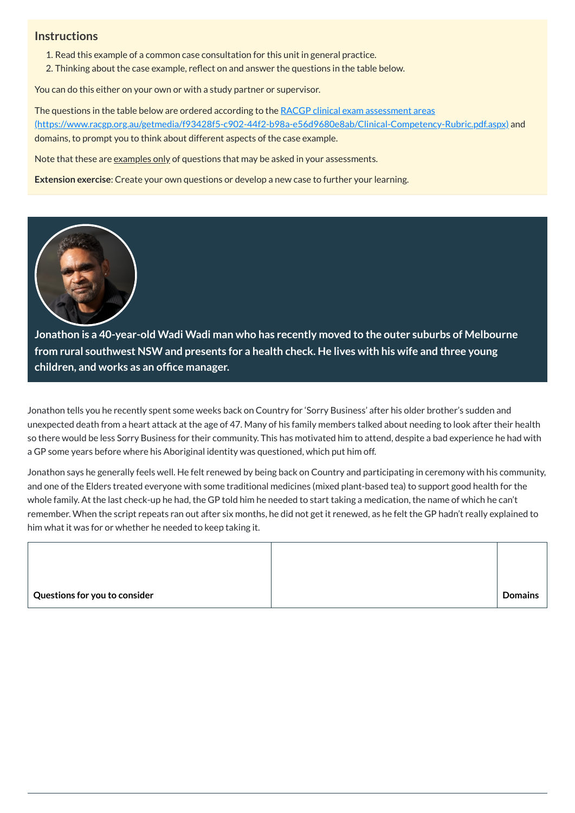- 1. Read this example of a common case consultation for this unit in general practice.
- 2. Thinking about the case example, reflect on and answer the questions in the table below.

You can do this either on your own or with a study partner or supervisor.

The questions in the table below are ordered according to the RACGP clinical exam assessment areas [\(https://www.racgp.org.au/getmedia/f93428f5-c902-44f2-b98a-e56d9680e8ab/Clinical-Competency-Rubric.pdf.aspx\)](https://www.racgp.org.au/getmedia/f93428f5-c902-44f2-b98a-e56d9680e8ab/Clinical-Competency-Rubric.pdf.aspx) and domains, to prompt you to think about different aspects of the case example.

Note that these are examples only of questions that may be asked in your assessments.

**Extension exercise**: Create your own questions or develop a new case to further your learning.



**Jonathon is a 40-year-old Wadi Wadi man who has recently moved to the outer suburbs of Melbourne from rural southwest NSW and presents for a health check. He lives with his wife and three young children, and works as an office manager.**

Jonathon tells you he recently spent some weeks back on Country for 'Sorry Business' after his older brother's sudden and unexpected death from a heart attack at the age of 47. Many of his family members talked about needing to look after their health so there would be less Sorry Business for their community. This has motivated him to attend, despite a bad experience he had with a GP some years before where his Aboriginal identity was questioned, which put him off.

Jonathon says he generally feels well. He felt renewed by being back on Country and participating in ceremony with his community, and one of the Elders treated everyone with some traditional medicines (mixed plant-based tea) to support good health for the whole family. At the last check-up he had, the GP told him he needed to start taking a medication, the name of which he can't remember. When the script repeats ran out after six months, he did not get it renewed, as he felt the GP hadn't really explained to him what it was for or whether he needed to keep taking it.

| Questions for you to consider | <b>Domains</b> |
|-------------------------------|----------------|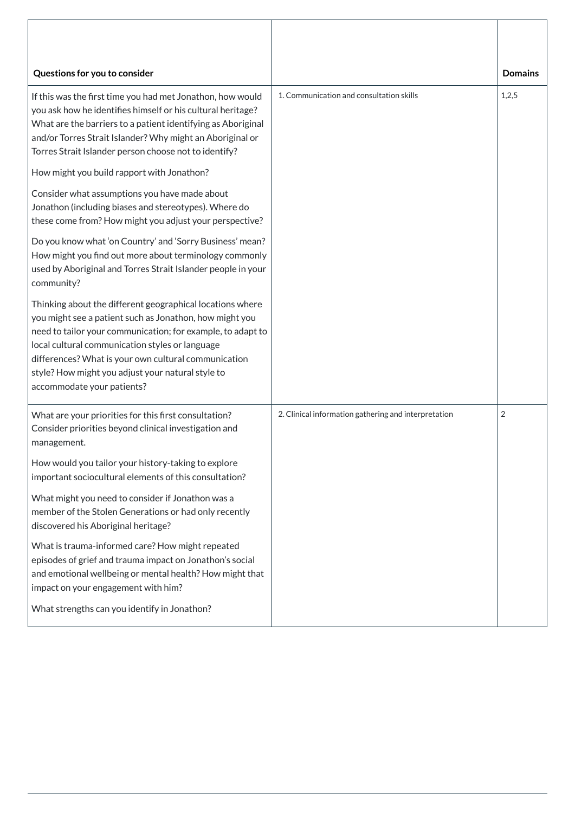| Questions for you to consider                                                                                                                                                                                                                                                                                                                                                     |                                                      | <b>Domains</b> |
|-----------------------------------------------------------------------------------------------------------------------------------------------------------------------------------------------------------------------------------------------------------------------------------------------------------------------------------------------------------------------------------|------------------------------------------------------|----------------|
| If this was the first time you had met Jonathon, how would<br>you ask how he identifies himself or his cultural heritage?<br>What are the barriers to a patient identifying as Aboriginal<br>and/or Torres Strait Islander? Why might an Aboriginal or<br>Torres Strait Islander person choose not to identify?                                                                   | 1. Communication and consultation skills             | 1,2,5          |
| How might you build rapport with Jonathon?                                                                                                                                                                                                                                                                                                                                        |                                                      |                |
| Consider what assumptions you have made about<br>Jonathon (including biases and stereotypes). Where do<br>these come from? How might you adjust your perspective?                                                                                                                                                                                                                 |                                                      |                |
| Do you know what 'on Country' and 'Sorry Business' mean?<br>How might you find out more about terminology commonly<br>used by Aboriginal and Torres Strait Islander people in your<br>community?                                                                                                                                                                                  |                                                      |                |
| Thinking about the different geographical locations where<br>you might see a patient such as Jonathon, how might you<br>need to tailor your communication; for example, to adapt to<br>local cultural communication styles or language<br>differences? What is your own cultural communication<br>style? How might you adjust your natural style to<br>accommodate your patients? |                                                      |                |
| What are your priorities for this first consultation?<br>Consider priorities beyond clinical investigation and<br>management.                                                                                                                                                                                                                                                     | 2. Clinical information gathering and interpretation | $\overline{2}$ |
| How would you tailor your history-taking to explore<br>important sociocultural elements of this consultation?                                                                                                                                                                                                                                                                     |                                                      |                |
| What might you need to consider if Jonathon was a<br>member of the Stolen Generations or had only recently<br>discovered his Aboriginal heritage?                                                                                                                                                                                                                                 |                                                      |                |
| What is trauma-informed care? How might repeated<br>episodes of grief and trauma impact on Jonathon's social<br>and emotional wellbeing or mental health? How might that<br>impact on your engagement with him?                                                                                                                                                                   |                                                      |                |
| What strengths can you identify in Jonathon?                                                                                                                                                                                                                                                                                                                                      |                                                      |                |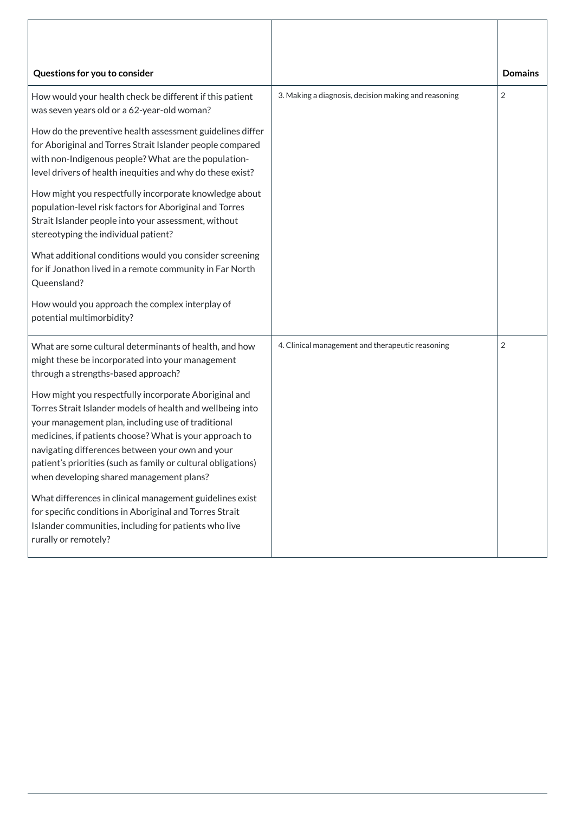| Questions for you to consider                                                                                                                                                                                                                                                                                                                                                                         |                                                      | <b>Domains</b> |
|-------------------------------------------------------------------------------------------------------------------------------------------------------------------------------------------------------------------------------------------------------------------------------------------------------------------------------------------------------------------------------------------------------|------------------------------------------------------|----------------|
| How would your health check be different if this patient<br>was seven years old or a 62-year-old woman?                                                                                                                                                                                                                                                                                               | 3. Making a diagnosis, decision making and reasoning | 2              |
| How do the preventive health assessment guidelines differ<br>for Aboriginal and Torres Strait Islander people compared<br>with non-Indigenous people? What are the population-<br>level drivers of health inequities and why do these exist?                                                                                                                                                          |                                                      |                |
| How might you respectfully incorporate knowledge about<br>population-level risk factors for Aboriginal and Torres<br>Strait Islander people into your assessment, without<br>stereotyping the individual patient?                                                                                                                                                                                     |                                                      |                |
| What additional conditions would you consider screening<br>for if Jonathon lived in a remote community in Far North<br>Queensland?                                                                                                                                                                                                                                                                    |                                                      |                |
| How would you approach the complex interplay of<br>potential multimorbidity?                                                                                                                                                                                                                                                                                                                          |                                                      |                |
| What are some cultural determinants of health, and how<br>might these be incorporated into your management<br>through a strengths-based approach?                                                                                                                                                                                                                                                     | 4. Clinical management and therapeutic reasoning     | 2              |
| How might you respectfully incorporate Aboriginal and<br>Torres Strait Islander models of health and wellbeing into<br>your management plan, including use of traditional<br>medicines, if patients choose? What is your approach to<br>navigating differences between your own and your<br>patient's priorities (such as family or cultural obligations)<br>when developing shared management plans? |                                                      |                |
| What differences in clinical management guidelines exist<br>for specific conditions in Aboriginal and Torres Strait<br>Islander communities, including for patients who live<br>rurally or remotely?                                                                                                                                                                                                  |                                                      |                |

Г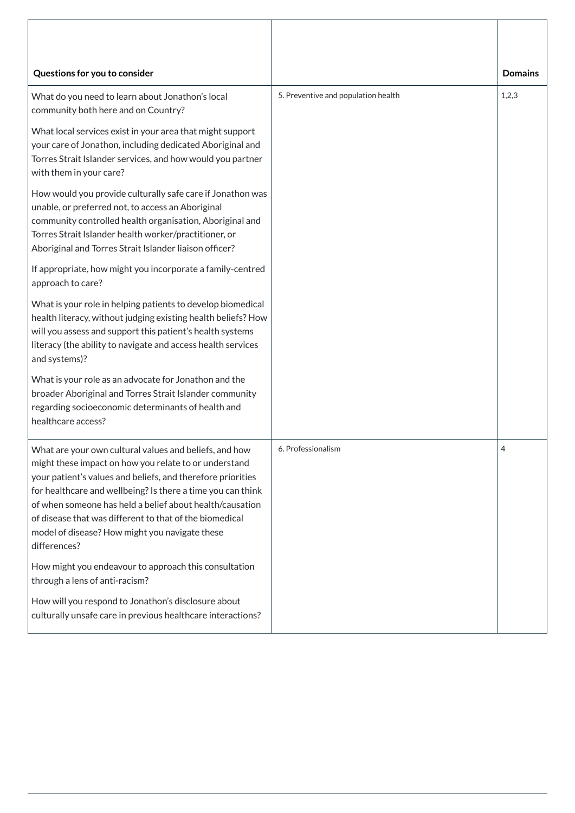| Questions for you to consider                                                                                                                                                                                                                                                                                                                                                                                                          |                                     | <b>Domains</b> |
|----------------------------------------------------------------------------------------------------------------------------------------------------------------------------------------------------------------------------------------------------------------------------------------------------------------------------------------------------------------------------------------------------------------------------------------|-------------------------------------|----------------|
| What do you need to learn about Jonathon's local<br>community both here and on Country?                                                                                                                                                                                                                                                                                                                                                | 5. Preventive and population health | 1,2,3          |
| What local services exist in your area that might support<br>your care of Jonathon, including dedicated Aboriginal and<br>Torres Strait Islander services, and how would you partner<br>with them in your care?                                                                                                                                                                                                                        |                                     |                |
| How would you provide culturally safe care if Jonathon was<br>unable, or preferred not, to access an Aboriginal<br>community controlled health organisation, Aboriginal and<br>Torres Strait Islander health worker/practitioner, or<br>Aboriginal and Torres Strait Islander liaison officer?                                                                                                                                         |                                     |                |
| If appropriate, how might you incorporate a family-centred<br>approach to care?                                                                                                                                                                                                                                                                                                                                                        |                                     |                |
| What is your role in helping patients to develop biomedical<br>health literacy, without judging existing health beliefs? How<br>will you assess and support this patient's health systems<br>literacy (the ability to navigate and access health services<br>and systems)?                                                                                                                                                             |                                     |                |
| What is your role as an advocate for Jonathon and the<br>broader Aboriginal and Torres Strait Islander community<br>regarding socioeconomic determinants of health and<br>healthcare access?                                                                                                                                                                                                                                           |                                     |                |
| What are your own cultural values and beliefs, and how<br>might these impact on how you relate to or understand<br>your patient's values and beliefs, and therefore priorities<br>for healthcare and wellbeing? Is there a time you can think<br>of when someone has held a belief about health/causation<br>of disease that was different to that of the biomedical<br>model of disease? How might you navigate these<br>differences? | 6. Professionalism                  | $\overline{4}$ |
| How might you endeavour to approach this consultation<br>through a lens of anti-racism?<br>How will you respond to Jonathon's disclosure about<br>culturally unsafe care in previous healthcare interactions?                                                                                                                                                                                                                          |                                     |                |
|                                                                                                                                                                                                                                                                                                                                                                                                                                        |                                     |                |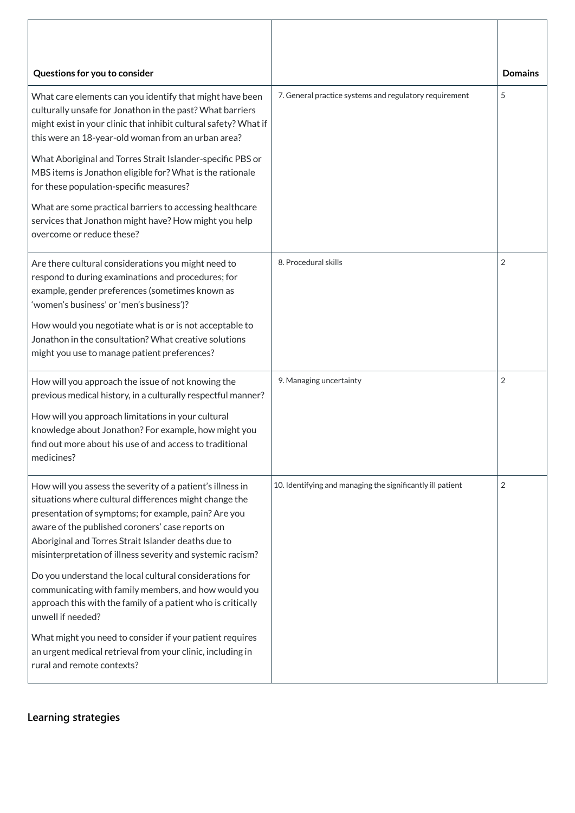| Questions for you to consider                                                                                                                                                                                                                                                                                                                         |                                                            | <b>Domains</b> |
|-------------------------------------------------------------------------------------------------------------------------------------------------------------------------------------------------------------------------------------------------------------------------------------------------------------------------------------------------------|------------------------------------------------------------|----------------|
| What care elements can you identify that might have been<br>culturally unsafe for Jonathon in the past? What barriers<br>might exist in your clinic that inhibit cultural safety? What if<br>this were an 18-year-old woman from an urban area?                                                                                                       | 7. General practice systems and regulatory requirement     | 5              |
| What Aboriginal and Torres Strait Islander-specific PBS or<br>MBS items is Jonathon eligible for? What is the rationale<br>for these population-specific measures?                                                                                                                                                                                    |                                                            |                |
| What are some practical barriers to accessing healthcare<br>services that Jonathon might have? How might you help<br>overcome or reduce these?                                                                                                                                                                                                        |                                                            |                |
| Are there cultural considerations you might need to<br>respond to during examinations and procedures; for<br>example, gender preferences (sometimes known as<br>'women's business' or 'men's business')?<br>How would you negotiate what is or is not acceptable to                                                                                   | 8. Procedural skills                                       | $\overline{2}$ |
| Jonathon in the consultation? What creative solutions<br>might you use to manage patient preferences?                                                                                                                                                                                                                                                 |                                                            |                |
| How will you approach the issue of not knowing the<br>previous medical history, in a culturally respectful manner?                                                                                                                                                                                                                                    | 9. Managing uncertainty                                    | $\overline{2}$ |
| How will you approach limitations in your cultural<br>knowledge about Jonathon? For example, how might you<br>find out more about his use of and access to traditional<br>medicines?                                                                                                                                                                  |                                                            |                |
| How will you assess the severity of a patient's illness in<br>situations where cultural differences might change the<br>presentation of symptoms; for example, pain? Are you<br>aware of the published coroners' case reports on<br>Aboriginal and Torres Strait Islander deaths due to<br>misinterpretation of illness severity and systemic racism? | 10. Identifying and managing the significantly ill patient | $\overline{2}$ |
| Do you understand the local cultural considerations for<br>communicating with family members, and how would you<br>approach this with the family of a patient who is critically<br>unwell if needed?                                                                                                                                                  |                                                            |                |
| What might you need to consider if your patient requires<br>an urgent medical retrieval from your clinic, including in<br>rural and remote contexts?                                                                                                                                                                                                  |                                                            |                |

**[Learning strategies](javascript:void(0))**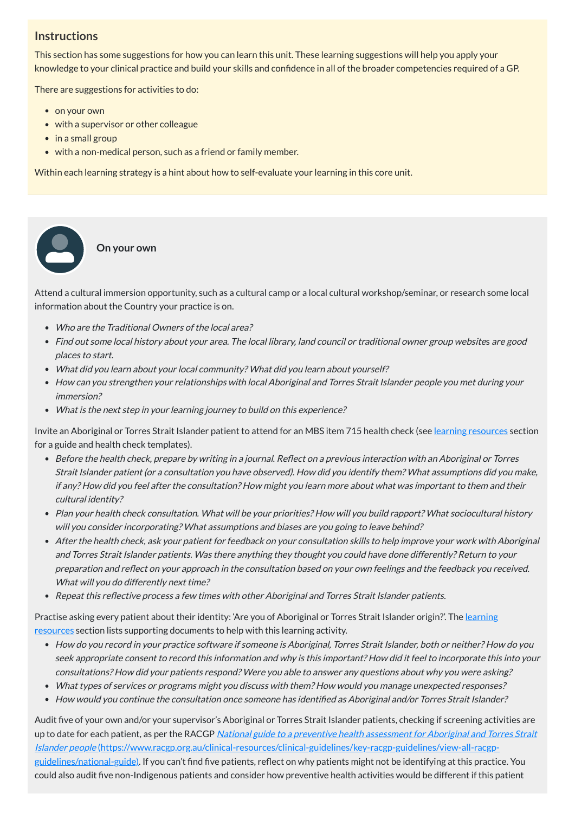This section has some suggestions for how you can learn this unit. These learning suggestions will help you apply your knowledge to your clinical practice and build your skills and confidence in all of the broader competencies required of a GP.

There are suggestions for activities to do:

• on your own

 $\bullet$  $\bullet$ 

- with a supervisor or other colleague
- in a small group
- with a non-medical person, such as a friend or family member.

Within each learning strategy is a hint about how to self-evaluate your learning in this core unit.

#### **On your own**

- Who are the Traditional Owners of the local area?
- Find out some local history about your area. The local library, land council or traditional owner group websites are good places to start.
- What did you learn about your local community? What did you learn about yourself?
- How can you strengthen your relationships with local Aboriginal and Torres Strait Islander people you met during your immersion?
- What is the next step in your learning journey to build on this experience?

Attend a cultural immersion opportunity, such as a cultural camp or a local cultural workshop/seminar, or research some local information about the Country your practice is on.

Invite an Aboriginal or Torres Strait Islander patient to attend for an MBS item 715 health check (see learning [resources](#page-15-0) section for a guide and health check templates).

Practise asking every patient about their identity: 'Are you of Aboriginal or Torres Strait Islander origin?'. The learning resources section lists supporting [documents](#page-15-0) to help with this learning activity.

- Before the health check, prepare by writing in <sup>a</sup> journal. Reflect on <sup>a</sup> previous interaction with an Aboriginal or Torres Strait Islander patient (or <sup>a</sup> consultation you have observed). How did you identify them? What assumptions did you make, if any? How did you feel after the consultation? How might you learn more about what was important to them and their cultural identity?
- Plan your health check consultation. What will be your priorities? How will you build rapport? What sociocultural history will you consider incorporating? What assumptions and biases are you going to leave behind?
- After the health check, ask your patient for feedback on your consultation skills to help improve your work with Aboriginal and Torres Strait Islander patients. Was there anything they thought you could have done differently? Return to your preparation and reflect on your approach in the consultation based on your own feelings and the feedback you received. What will you do differently next time?
- Repeat this reflective process <sup>a</sup> few times with other Aboriginal and Torres Strait Islander patients.

- How do you record in your practice software if someone is Aboriginal, Torres Strait Islander, both or neither? How do you seek appropriate consent to record this information and why is this important? How did it feel to incorporate this into your consultations? How did your patients respond? Were you able to answer any questions about why you were asking?
- What types of services or programs might you discuss with them? How would you manage unexpected responses?
- How would you continue the consultation once someone has identified as Aboriginal and/or Torres Strait Islander?

Audit five of your own and/or your supervisor's Aboriginal or Torres Strait Islander patients, checking if screening activities are up to date for each patient, as per the RACGP National guide to a preventive health assessment for Aboriginal and Torres Strait Islander people [\(https://www.racgp.org.au/clinical-resources/clinical-guidelines/key-racgp-guidelines/view-all-racgp](https://www.racgp.org.au/clinical-resources/clinical-guidelines/key-racgp-guidelines/view-all-racgp-guidelines/national-guide)guidelines/national-guide). If you can't find five patients, reflect on why patients might not be identifying at this practice. You could also audit five non-Indigenous patients and consider how preventive health activities would be different if this patient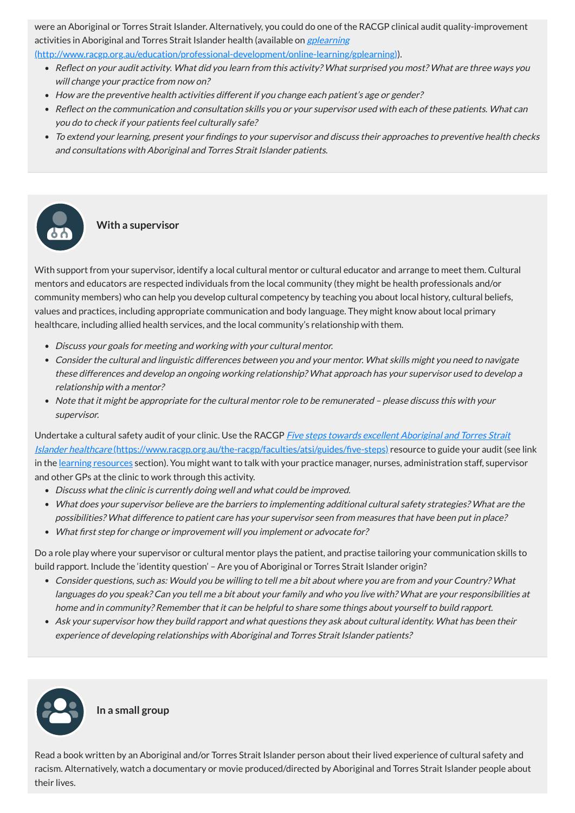were an Aboriginal or Torres Strait Islander. Alternatively, you could do one of the RACGP clinical audit quality-improvement activities in Aboriginal and Torres Strait Islander health (available on *gplearning* 

[\(http://www.racgp.org.au/education/professional-development/online-learning/gplearning\)\)](http://www.racgp.org.au/education/professional-development/online-learning/gplearning).

- Reflect on your audit activity. What did you learn from this activity? What surprised you most? What are three ways you will change your practice from now on?
- How are the preventive health activities different if you change each patient's age or gender?
- Reflect on the communication and consultation skills you or your supervisor used with each of these patients. What can you do to check if your patients feel culturally safe?
- To extend your learning, present your findings to your supervisor and discuss their approaches to preventive health checks and consultations with Aboriginal and Torres Strait Islander patients.

### **With a supervisor**

Undertake a cultural safety audit of your clinic. Use the RACGP *Five steps towards excellent Aboriginal and Torres Strait* Islander healthcare [\(https://www.racgp.org.au/the-racgp/faculties/atsi/guides/five-steps\)](https://www.racgp.org.au/the-racgp/faculties/atsi/guides/five-steps) resource to guide your audit (see link in the <u>learning [resources](#page-15-0)</u> section). You might want to talk with your practice manager, nurses, administration staff, supervisor and other GPs at the clinic to work through this activity.

With support from your supervisor, identify a local cultural mentor or cultural educator and arrange to meet them. Cultural mentors and educators are respected individuals from the local community (they might be health professionals and/or community members) who can help you develop cultural competency by teaching you about local history, cultural beliefs, values and practices, including appropriate communication and body language. They might know about local primary healthcare, including allied health services, and the local community's relationship with them.

- Discuss your goals for meeting and working with your cultural mentor.
- Consider the cultural and linguistic differences between you and your mentor. What skills might you need to navigate these differences and develop an ongoing working relationship? What approach has your supervisor used to develop <sup>a</sup> relationship with <sup>a</sup> mentor?
- Note that it might be appropriate for the cultural mentor role to be remunerated please discuss this with your supervisor.

- Discuss what the clinic is currently doing well and what could be improved.
- What does your supervisor believe are the barriers to implementing additional cultural safety strategies? What are the possibilities? What difference to patient care has your supervisor seen from measures that have been put in place?
- What first step for change or improvement will you implement or advocate for?

Do a role play where your supervisor or cultural mentor plays the patient, and practise tailoring your communication skills to build rapport. Include the 'identity question' – Are you of Aboriginal or Torres Strait Islander origin?

- Consider questions, such as: Would you be willing to tell me <sup>a</sup> bit about where you are from and your Country? What languages do you speak? Can you tell me <sup>a</sup> bit about your family and who you live with? What are your responsibilities at home and in community? Remember that it can be helpful to share some things about yourself to build rapport.
- Ask your supervisor how they build rapport and what questions they ask about cultural identity. What has been their experience of developing relationships with Aboriginal and Torres Strait Islander patients?



**In a small group**

Read a book written by an Aboriginal and/or Torres Strait Islander person about their lived experience of cultural safety and racism. Alternatively, watch a documentary or movie produced/directed by Aboriginal and Torres Strait Islander people about their lives.

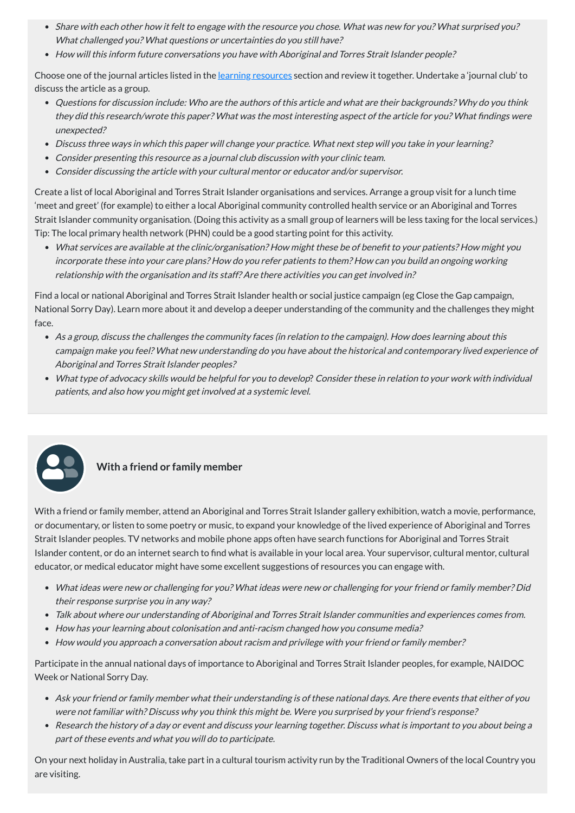- Share with each other how it felt to engage with the resource you chose. What was new for you? What surprised you? What challenged you? What questions or uncertainties do you still have?
- How will this inform future conversations you have with Aboriginal and Torres Strait Islander people?

Choose one of the journal articles listed in the learning [resources](#page-15-0) section and review it together. Undertake a 'journal club' to discuss the article as a group.

- Questions for discussion include: Who are the authors of this article and what are their backgrounds? Why do you think they did this research/wrote this paper? What was the most interesting aspect of the article for you? What findings were unexpected?
- Discuss three ways in which this paper will change your practice. What next step will you take in your learning?
- Consider presenting this resource as <sup>a</sup> journal club discussion with your clinic team.
- Consider discussing the article with your cultural mentor or educator and/or supervisor.

Create a list of local Aboriginal and Torres Strait Islander organisations and services. Arrange a group visit for a lunch time 'meet and greet' (for example) to either a local Aboriginal community controlled health service or an Aboriginal and Torres Strait Islander community organisation. (Doing this activity as a small group of learners will be less taxing for the local services.) Tip: The local primary health network (PHN) could be a good starting point for this activity.

- What ideas were new or challenging for you? What ideas were new or challenging for your friend or family member? Did their response surprise you in any way?
- 
- Talk about where our understanding of Aboriginal and Torres Strait Islander communities and experiences comes from.
- How has your learning about colonisation and anti-racism changed how you consume media?
- How would you approach a conversation about racism and privilege with your friend or family member?

What services are available at the clinic/organisation? How might these be of benefit to your patients? How might you incorporate these into your care plans? How do you refer patients to them? How can you build an ongoing working relationship with the organisation and its staff? Are there activities you can get involved in?

Find a local or national Aboriginal and Torres Strait Islander health or social justice campaign (eg Close the Gap campaign, National Sorry Day). Learn more about it and develop a deeper understanding of the community and the challenges they might face.

- As <sup>a</sup> group, discuss the challenges the community faces (in relation to the campaign). How does learning about this campaign make you feel? What new understanding do you have about the historical and contemporary lived experience of Aboriginal and Torres Strait Islander peoples?
- What type of advocacy skills would be helpful for you to develop? Consider these in relation to your work with individual patients, and also how you might get involved at <sup>a</sup> systemic level.



### **With a friend or family member**

With a friend or family member, attend an Aboriginal and Torres Strait Islander gallery exhibition, watch a movie, performance, or documentary, or listen to some poetry or music, to expand your knowledge of the lived experience of Aboriginal and Torres Strait Islander peoples. TV networks and mobile phone apps often have search functions for Aboriginal and Torres Strait Islander content, or do an internet search to find what is available in your local area. Your supervisor, cultural mentor, cultural educator, or medical educator might have some excellent suggestions of resources you can engage with.

Participate in the annual national days of importance to Aboriginal and Torres Strait Islander peoples, for example, NAIDOC Week or National Sorry Day.

- Ask your friend or family member what their understanding is of these national days. Are there events that either of you were not familiar with? Discuss why you think this might be. Were you surprised by your friend's response?
- Research the history of <sup>a</sup> day or event and discuss your learning together. Discuss what is important to you about being <sup>a</sup> part of these events and what you will do to participate.

On your next holiday in Australia, take part in a cultural tourism activity run by the Traditional Owners of the local Country you are visiting.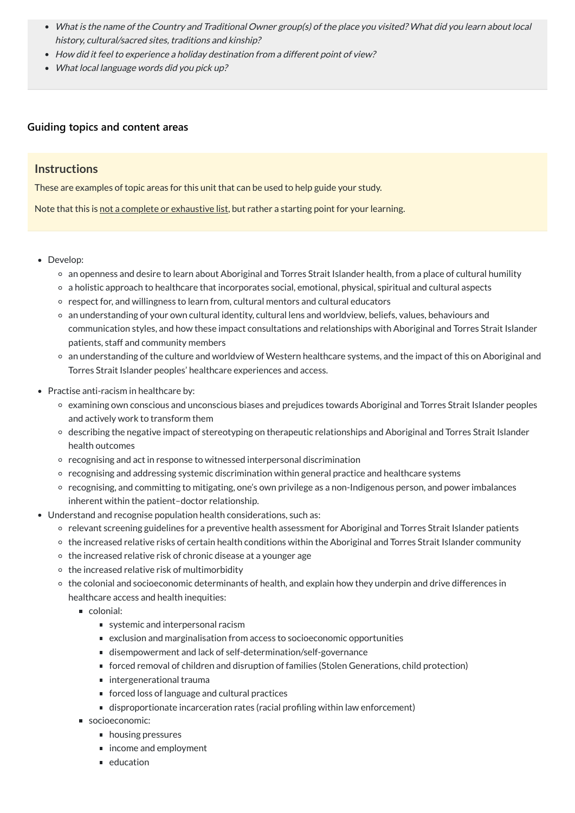- What is the name of the Country and Traditional Owner group(s) of the place you visited? What did you learn about local history, cultural/sacred sites, traditions and kinship?
- How did it feel to experience <sup>a</sup> holiday destination from <sup>a</sup> different point of view?
- What local language words did you pick up?

### **[Guiding topics and content areas](javascript:void(0))**

### **Instructions**

These are examples of topic areas for this unit that can be used to help guide your study.

Note that this is not a complete or exhaustive list, but rather a starting point for your learning.

- Develop:
	- an openness and desire to learn about Aboriginal and Torres Strait Islander health, from a place of cultural humility
	- a holistic approach to healthcare that incorporates social, emotional, physical, spiritual and cultural aspects
	- respect for, and willingness to learn from, cultural mentors and cultural educators
	- an understanding of your own cultural identity, cultural lens and worldview, beliefs, values, behaviours and communication styles, and how these impact consultations and relationships with Aboriginal and Torres Strait Islander patients, staff and community members
	- an understanding of the culture and worldview of Western healthcare systems, and the impact of this on Aboriginal and Torres Strait Islander peoples' healthcare experiences and access.
- Practise anti-racism in healthcare by:
	- examining own conscious and unconscious biases and prejudices towards Aboriginal and Torres Strait Islander peoples and actively work to transform them
	- describing the negative impact of stereotyping on therapeutic relationships and Aboriginal and Torres Strait Islander health outcomes
	- recognising and act in response to witnessed interpersonal discrimination
	- $\circ$  recognising and addressing systemic discrimination within general practice and healthcare systems
	- recognising, and committing to mitigating, one's own privilege as a non-Indigenous person, and power imbalances inherent within the patient–doctor relationship.
- Understand and recognise population health considerations, such as:
	- relevant screening guidelines for a preventive health assessment for Aboriginal and Torres Strait Islander patients
	- the increased relative risks of certain health conditions within the Aboriginal and Torres Strait Islander community
	- $\circ$  the increased relative risk of chronic disease at a younger age
	- $\circ$  the increased relative risk of multimorbidity
	- the colonial and socioeconomic determinants of health, and explain how they underpin and drive differences in healthcare access and health inequities:
		- colonial:

- systemic and interpersonal racism
- exclusion and marginalisation from access to socioeconomic opportunities
- disempowerment and lack of self-determination/self-governance
- forced removal of children and disruption of families (Stolen Generations, child protection)
- intergenerational trauma
- forced loss of language and cultural practices
- disproportionate incarceration rates (racial profiling within law enforcement)
- socioeconomic:
	- **housing pressures**
	- income and employment
	- $\blacksquare$  education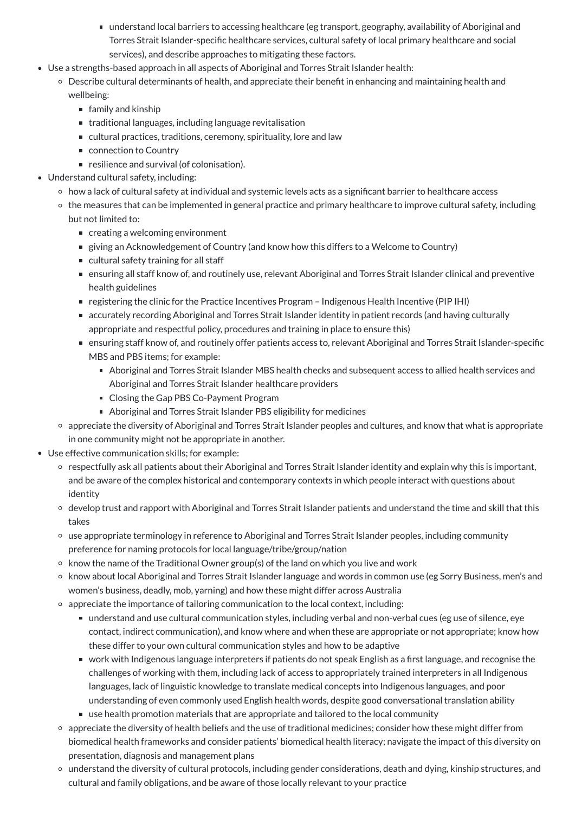- understand local barriers to accessing healthcare (eg transport, geography, availability of Aboriginal and Torres Strait Islander-specific healthcare services, cultural safety of local primary healthcare and social services), and describe approaches to mitigating these factors.
- Use a strengths-based approach in all aspects of Aboriginal and Torres Strait Islander health:
	- Describe cultural determinants of health, and appreciate their benefit in enhancing and maintaining health and wellbeing:
		- $\blacksquare$  family and kinship
		- traditional languages, including language revitalisation
		- cultural practices, traditions, ceremony, spirituality, lore and law
		- connection to Country
		- resilience and survival (of colonisation).
- Understand cultural safety, including:
	- how a lack of cultural safety at individual and systemic levels acts as a significant barrier to healthcare access
	- the measures that can be implemented in general practice and primary healthcare to improve cultural safety, including but not limited to:
		- creating a welcoming environment
		- giving an Acknowledgement of Country (and know how this differs to a Welcome to Country)
		- cultural safety training for all staff
		- ensuring all staff know of, and routinely use, relevant Aboriginal and Torres Strait Islander clinical and preventive health guidelines
		- registering the clinic for the Practice Incentives Program Indigenous Health Incentive (PIP IHI)
		- accurately recording Aboriginal and Torres Strait Islander identity in patient records (and having culturally appropriate and respectful policy, procedures and training in place to ensure this)
		- ensuring staff know of, and routinely offer patients access to, relevant Aboriginal and Torres Strait Islander-specific MBS and PBS items; for example:
			- Aboriginal and Torres Strait Islander MBS health checks and subsequent access to allied health services and Aboriginal and Torres Strait Islander healthcare providers
			- Closing the Gap PBS Co-Payment Program
			- Aboriginal and Torres Strait Islander PBS eligibility for medicines
	- appreciate the diversity of Aboriginal and Torres Strait Islander peoples and cultures, and know that what is appropriate in one community might not be appropriate in another.
- Use effective communication skills; for example:
	- respectfully ask all patients about their Aboriginal and Torres Strait Islander identity and explain why this is important, and be aware of the complex historical and contemporary contexts in which people interact with questions about identity
	- develop trust and rapport with Aboriginal and Torres Strait Islander patients and understand the time and skill that this takes
	- use appropriate terminology in reference to Aboriginal and Torres Strait Islander peoples, including community preference for naming protocols for local language/tribe/group/nation
	- o know the name of the Traditional Owner group(s) of the land on which you live and work
	- know about local Aboriginal and Torres Strait Islander language and words in common use (eg Sorry Business, men's and women's business, deadly, mob, yarning) and how these might differ across Australia
	- $\circ$  appreciate the importance of tailoring communication to the local context, including:
		- understand and use cultural communication styles, including verbal and non-verbal cues (eg use of silence, eye contact, indirect communication), and know where and when these are appropriate or not appropriate; know how these differ to your own cultural communication styles and how to be adaptive
		- work with Indigenous language interpreters if patients do not speak English as a first language, and recognise the challenges of working with them, including lack of access to appropriately trained interpreters in all Indigenous languages, lack of linguistic knowledge to translate medical concepts into Indigenous languages, and poor understanding of even commonly used English health words, despite good conversational translation ability
		- use health promotion materials that are appropriate and tailored to the local community
	- appreciate the diversity of health beliefs and the use of traditional medicines; consider how these might differ from biomedical health frameworks and consider patients' biomedical health literacy; navigate the impact of this diversity on presentation, diagnosis and management plans
	- understand the diversity of cultural protocols, including gender considerations, death and dying, kinship structures, and cultural and family obligations, and be aware of those locally relevant to your practice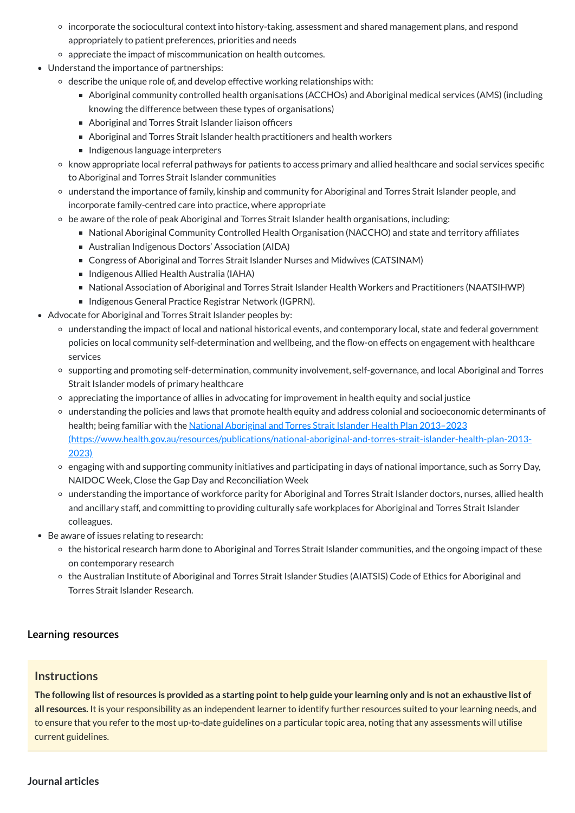- incorporate the sociocultural context into history-taking, assessment and shared management plans, and respond appropriately to patient preferences, priorities and needs
- appreciate the impact of miscommunication on health outcomes.
- Understand the importance of partnerships:
	- $\circ$  describe the unique role of, and develop effective working relationships with:
		- Aboriginal community controlled health organisations (ACCHOs) and Aboriginal medical services (AMS) (including knowing the difference between these types of organisations)
		- Aboriginal and Torres Strait Islander liaison officers
		- Aboriginal and Torres Strait Islander health practitioners and health workers
		- Indigenous language interpreters
	- know appropriate local referral pathways for patients to access primary and allied healthcare and social services specific to Aboriginal and Torres Strait Islander communities
	- understand the importance of family, kinship and community for Aboriginal and Torres Strait Islander people, and incorporate family-centred care into practice, where appropriate
	- be aware of the role of peak Aboriginal and Torres Strait Islander health organisations, including:
		- National Aboriginal Community Controlled Health Organisation (NACCHO) and state and territory affiliates
		- Australian Indigenous Doctors' Association (AIDA)
		- Congress of Aboriginal and Torres Strait Islander Nurses and Midwives (CATSINAM)
		- Indigenous Allied Health Australia (IAHA)
		- National Association of Aboriginal and Torres Strait Islander Health Workers and Practitioners (NAATSIHWP)
		- Indigenous General Practice Registrar Network (IGPRN).
- Advocate for Aboriginal and Torres Strait Islander peoples by:
	- understanding the impact of local and national historical events, and contemporary local, state and federal government policies on local community self-determination and wellbeing, and the flow-on effects on engagement with healthcare services
	- supporting and promoting self-determination, community involvement, self-governance, and local Aboriginal and Torres Strait Islander models of primary healthcare
	- appreciating the importance of allies in advocating for improvement in health equity and social justice
	- understanding the policies and laws that promote health equity and address colonial and socioeconomic determinants of health; being familiar with the National Aboriginal and Torres Strait Islander Health Plan 2013-2023 [\(https://www.health.gov.au/resources/publications/national-aboriginal-and-torres-strait-islander-health-plan-2013-](https://www.health.gov.au/resources/publications/national-aboriginal-and-torres-strait-islander-health-plan-2013-2023) 2023)
	- engaging with and supporting community initiatives and participating in days of national importance, such as Sorry Day, NAIDOC Week, Close the Gap Day and Reconciliation Week
	- understanding the importance of workforce parity for Aboriginal and Torres Strait Islander doctors, nurses, allied health and ancillary staff, and committing to providing culturally safe workplaces for Aboriginal and Torres Strait Islander colleagues.
- Be aware of issues relating to research:
	- the historical research harm done to Aboriginal and Torres Strait Islander communities, and the ongoing impact of these on contemporary research
	- the Australian Institute of Aboriginal and Torres Strait Islander Studies (AIATSIS) Code of Ethics for Aboriginal and Torres Strait Islander Research.

The following list of resources is provided as a starting point to help guide your learning only and is not an exhaustive list of **all resources.** It is your responsibility as an independent learner to identify further resources suited to your learning needs, and to ensure that you refer to the most up-to-date guidelines on a particular topic area, noting that any assessments will utilise current guidelines.

#### **[Learning resources](javascript:void(0))**

### **Instructions**

<span id="page-15-0"></span>**Journal articles**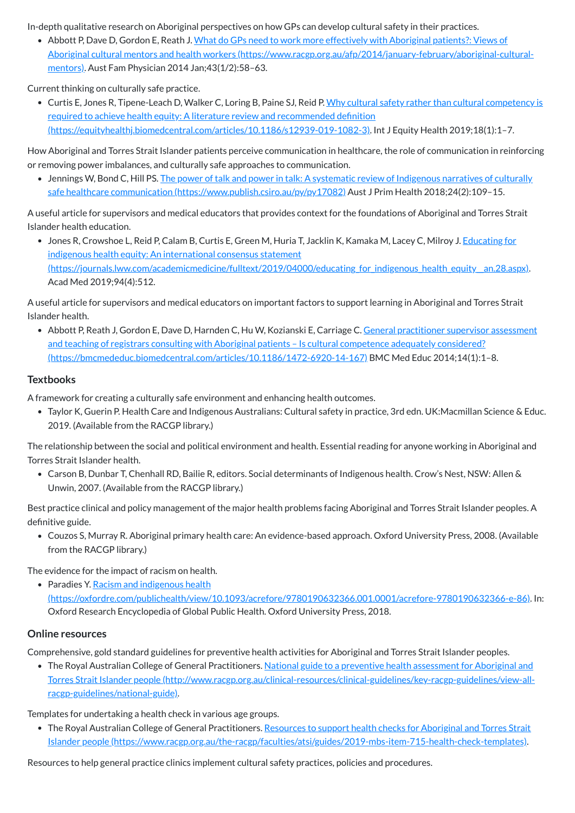In-depth qualitative research on Aboriginal perspectives on how GPs can develop cultural safety in their practices.

Abbott P, Dave D, Gordon E, Reath J. What do GPs need to work more effectively with Aboriginal patients?: Views of Aboriginal cultural mentors and health workers [\(https://www.racgp.org.au/afp/2014/january-february/aboriginal-cultural](https://www.racgp.org.au/afp/2014/january-february/aboriginal-cultural-mentors)mentors). Aust Fam Physician 2014 Jan;43(1/2):58–63.

• Curtis E, Jones R, Tipene-Leach D, Walker C, Loring B, Paine SJ, Reid P. Why cultural safety rather than cultural competency is required to achieve health equity: A literature review and recommended definition [\(https://equityhealthj.biomedcentral.com/articles/10.1186/s12939-019-1082-3\).](https://equityhealthj.biomedcentral.com/articles/10.1186/s12939-019-1082-3) Int J Equity Health 2019;18(1):1–7.

Current thinking on culturally safe practice.

• Jones R, Crowshoe L, Reid P, Calam B, Curtis E, Green M, Huria T, Jacklin K, Kamaka M, Lacey C, Milroy J. Educating for indigenous health equity: An international consensus statement (https://journals.lww.com/academicmedicine/fulltext/2019/04000/educating\_for\_indigenous\_health\_equity\_an.28.aspx). Acad Med 2019;94(4):512.

How Aboriginal and Torres Strait Islander patients perceive communication in healthcare, the role of communication in reinforcing or removing power imbalances, and culturally safe approaches to communication.

• Jennings W, Bond C, Hill PS. The power of talk and power in talk: A systematic review of Indigenous narratives of culturally safe healthcare communication [\(https://www.publish.csiro.au/py/py17082\)](https://www.publish.csiro.au/py/py17082) Aust J Prim Health 2018;24(2):109-15.

• Abbott P, Reath J, Gordon E, Dave D, Harnden C, Hu W, Kozianski E, Carriage C. General practitioner supervisor assessment and teaching of registrars consulting with Aboriginal patients – Is cultural competence adequately considered? [\(https://bmcmededuc.biomedcentral.com/articles/10.1186/1472-6920-14-167\)](https://bmcmededuc.biomedcentral.com/articles/10.1186/1472-6920-14-167) BMC Med Educ 2014;14(1):1–8.

A useful article for supervisors and medical educators that provides context for the foundations of Aboriginal and Torres Strait Islander health education.

• Paradies Y. Racism and indigenous health [\(https://oxfordre.com/publichealth/view/10.1093/acrefore/9780190632366.001.0001/acrefore-9780190632366-e-86\)](https://oxfordre.com/publichealth/view/10.1093/acrefore/9780190632366.001.0001/acrefore-9780190632366-e-86). In: Oxford Research Encyclopedia of Global Public Health. Oxford University Press, 2018.

A useful article for supervisors and medical educators on important factors to support learning in Aboriginal and Torres Strait Islander health.

• The Royal Australian College of General Practitioners. National guide to a preventive health assessment for Aboriginal and Torres Strait Islander people [\(http://www.racgp.org.au/clinical-resources/clinical-guidelines/key-racgp-guidelines/view-all](http://www.racgp.org.au/clinical-resources/clinical-guidelines/key-racgp-guidelines/view-all-racgp-guidelines/national-guide)racgp-guidelines/national-guide).

• The Royal Australian College of General Practitioners. Resources to support health checks for Aboriginal and Torres Strait Islander people [\(https://www.racgp.org.au/the-racgp/faculties/atsi/guides/2019-mbs-item-715-health-check-templates\).](https://www.racgp.org.au/the-racgp/faculties/atsi/guides/2019-mbs-item-715-health-check-templates)

### **Textbooks**

A framework for creating a culturally safe environment and enhancing health outcomes.

Taylor K, Guerin P. Health Care and Indigenous Australians: Cultural safety in practice, 3rd edn. UK:Macmillan Science & Educ. 2019. (Available from the RACGP library.)

The relationship between the social and political environment and health. Essential reading for anyone working in Aboriginal and Torres Strait Islander health.

Carson B, Dunbar T, Chenhall RD, Bailie R, editors. Social determinants of Indigenous health. Crow's Nest, NSW: Allen & Unwin, 2007. (Available from the RACGP library.)

Best practice clinical and policy management of the major health problems facing Aboriginal and Torres Strait Islander peoples. A definitive guide.

Couzos S, Murray R. Aboriginal primary health care: An evidence-based approach. Oxford University Press, 2008. (Available from the RACGP library.)

The evidence for the impact of racism on health.

#### **Online resources**

Comprehensive, gold standard guidelines for preventive health activities for Aboriginal and Torres Strait Islander peoples.

Templates for undertaking a health check in various age groups.

Resources to help general practice clinics implement cultural safety practices, policies and procedures.